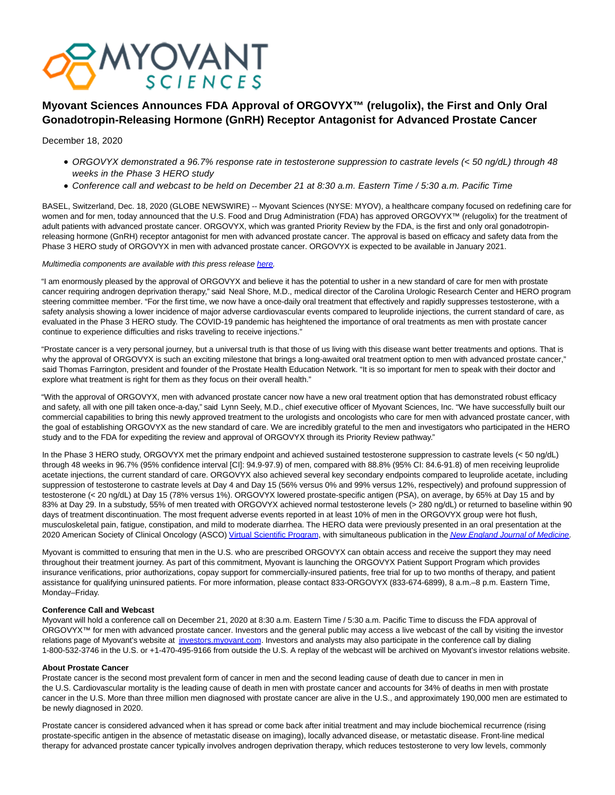

# **Myovant Sciences Announces FDA Approval of ORGOVYX™ (relugolix), the First and Only Oral Gonadotropin-Releasing Hormone (GnRH) Receptor Antagonist for Advanced Prostate Cancer**

# December 18, 2020

- ORGOVYX demonstrated a 96.7% response rate in testosterone suppression to castrate levels (< 50 ng/dL) through 48 weeks in the Phase 3 HERO study
- Conference call and webcast to be held on December 21 at 8:30 a.m. Eastern Time / 5:30 a.m. Pacific Time

BASEL, Switzerland, Dec. 18, 2020 (GLOBE NEWSWIRE) -- Myovant Sciences (NYSE: MYOV), a healthcare company focused on redefining care for women and for men, today announced that the U.S. Food and Drug Administration (FDA) has approved ORGOVYX™ (relugolix) for the treatment of adult patients with advanced prostate cancer. ORGOVYX, which was granted Priority Review by the FDA, is the first and only oral gonadotropinreleasing hormone (GnRH) receptor antagonist for men with advanced prostate cancer. The approval is based on efficacy and safety data from the Phase 3 HERO study of ORGOVYX in men with advanced prostate cancer. ORGOVYX is expected to be available in January 2021.

# Multimedia components are available with this press release [here.](https://www.globenewswire.com/Tracker?data=38wHYuT4ow6u3EgbeDLFZiTqMbZ6G8Fu1l0_6tiQS7eyDwuUfDKADAWyWJKX4pve3CqfZe1Tl4D5exwe4OyIvqsydTS-Q0aKBw5_s7Kq1efRY_bE4mxl9HphKDDzehHnxUAJYPHJ-DH_0kpYkUV0fN57ml3pMy-Xx8UYn2JwDQiq2BsDcGODi_ndsoVNSLSb5PdsEBI69m6-9WAuduW7cA==)

"I am enormously pleased by the approval of ORGOVYX and believe it has the potential to usher in a new standard of care for men with prostate cancer requiring androgen deprivation therapy," said Neal Shore, M.D., medical director of the Carolina Urologic Research Center and HERO program steering committee member. "For the first time, we now have a once-daily oral treatment that effectively and rapidly suppresses testosterone, with a safety analysis showing a lower incidence of major adverse cardiovascular events compared to leuprolide injections, the current standard of care, as evaluated in the Phase 3 HERO study. The COVID-19 pandemic has heightened the importance of oral treatments as men with prostate cancer continue to experience difficulties and risks traveling to receive injections."

"Prostate cancer is a very personal journey, but a universal truth is that those of us living with this disease want better treatments and options. That is why the approval of ORGOVYX is such an exciting milestone that brings a long-awaited oral treatment option to men with advanced prostate cancer," said Thomas Farrington, president and founder of the Prostate Health Education Network. "It is so important for men to speak with their doctor and explore what treatment is right for them as they focus on their overall health."

"With the approval of ORGOVYX, men with advanced prostate cancer now have a new oral treatment option that has demonstrated robust efficacy and safety, all with one pill taken once-a-day," said Lynn Seely, M.D., chief executive officer of Myovant Sciences, Inc. "We have successfully built our commercial capabilities to bring this newly approved treatment to the urologists and oncologists who care for men with advanced prostate cancer, with the goal of establishing ORGOVYX as the new standard of care. We are incredibly grateful to the men and investigators who participated in the HERO study and to the FDA for expediting the review and approval of ORGOVYX through its Priority Review pathway."

In the Phase 3 HERO study, ORGOVYX met the primary endpoint and achieved sustained testosterone suppression to castrate levels (< 50 ng/dL) through 48 weeks in 96.7% (95% confidence interval [CI]: 94.9-97.9) of men, compared with 88.8% (95% CI: 84.6-91.8) of men receiving leuprolide acetate injections, the current standard of care. ORGOVYX also achieved several key secondary endpoints compared to leuprolide acetate, including suppression of testosterone to castrate levels at Day 4 and Day 15 (56% versus 0% and 99% versus 12%, respectively) and profound suppression of testosterone (< 20 ng/dL) at Day 15 (78% versus 1%). ORGOVYX lowered prostate-specific antigen (PSA), on average, by 65% at Day 15 and by 83% at Day 29. In a substudy, 55% of men treated with ORGOVYX achieved normal testosterone levels (> 280 ng/dL) or returned to baseline within 90 days of treatment discontinuation. The most frequent adverse events reported in at least 10% of men in the ORGOVYX group were hot flush, musculoskeletal pain, fatigue, constipation, and mild to moderate diarrhea. The HERO data were previously presented in an oral presentation at the 2020 American Society of Clinical Oncology (ASCO[\) Virtual Scientific Program,](https://www.globenewswire.com/Tracker?data=_2CvPSGOgGFAWzmoeI8ddU1Etv5STDJJXTG2Im4dTWUXOCwZ7uyz_iQXstIj9f8n2MUQ9WtFPLKIZBfjd8tzcZ3queqFIdTenZipuiuaoOApeQX5PHpf00twvyhVO1bFGf93_FxpFbxCbcBHWVfq1w==) with simultaneous publication in the [New England Journal of Medicine](https://www.globenewswire.com/Tracker?data=uMO4p6NsTiBjF5pnlfhrJ49azNJwP6YLoWI6K4ajwT2LCsjPLCDPHwPnJd0ralFKjbz0BIbpMZSN4hkguSwKJqu_w6OWNHwfZSxc7XYyGDkotuA2Qm3pVXuYEo7oDIde5K7cKsyCsCy38mEm5dVjLg==).

Myovant is committed to ensuring that men in the U.S. who are prescribed ORGOVYX can obtain access and receive the support they may need throughout their treatment journey. As part of this commitment, Myovant is launching the ORGOVYX Patient Support Program which provides insurance verifications, prior authorizations, copay support for commercially-insured patients, free trial for up to two months of therapy, and patient assistance for qualifying uninsured patients. For more information, please contact 833-ORGOVYX (833-674-6899), 8 a.m.–8 p.m. Eastern Time, Monday–Friday.

# **Conference Call and Webcast**

Myovant will hold a conference call on December 21, 2020 at 8:30 a.m. Eastern Time / 5:30 a.m. Pacific Time to discuss the FDA approval of ORGOVYX™ for men with advanced prostate cancer. Investors and the general public may access a live webcast of the call by visiting the investor relations page of Myovant's website at [investors.myovant.com.](https://www.globenewswire.com/Tracker?data=DqFs8ElrOIu0fdHUX6_nT0w2TggR_A_QuRjyrvNw_1E_X5q5bP4y0NhqqQYeVxCysznizoBL_sRmkikZXVKnn5GvEfejZWR0Io1WQ2OZMsf6aH-0bEV0vvnZD1tBVl8P_avMgVzEKpzWj22aNy9ACAngQcq6rQaHeR_gaavU7yaUSskVglCzdakMqa8Gv55L2fHbjtnvbcPecgJnrfkXZqwh0c9ZSQ0fzDU-wr3ZMmtHmGjOX1pPTL_xZgqdcsRmgYQZ7MnEkB1-qROsSqDiNg==) Investors and analysts may also participate in the conference call by dialing 1-800-532-3746 in the U.S. or +1-470-495-9166 from outside the U.S. A replay of the webcast will be archived on Myovant's investor relations website.

# **About Prostate Cancer**

Prostate cancer is the second most prevalent form of cancer in men and the second leading cause of death due to cancer in men in the U.S. Cardiovascular mortality is the leading cause of death in men with prostate cancer and accounts for 34% of deaths in men with prostate cancer in the U.S. More than three million men diagnosed with prostate cancer are alive in the U.S., and approximately 190,000 men are estimated to be newly diagnosed in 2020.

Prostate cancer is considered advanced when it has spread or come back after initial treatment and may include biochemical recurrence (rising prostate-specific antigen in the absence of metastatic disease on imaging), locally advanced disease, or metastatic disease. Front-line medical therapy for advanced prostate cancer typically involves androgen deprivation therapy, which reduces testosterone to very low levels, commonly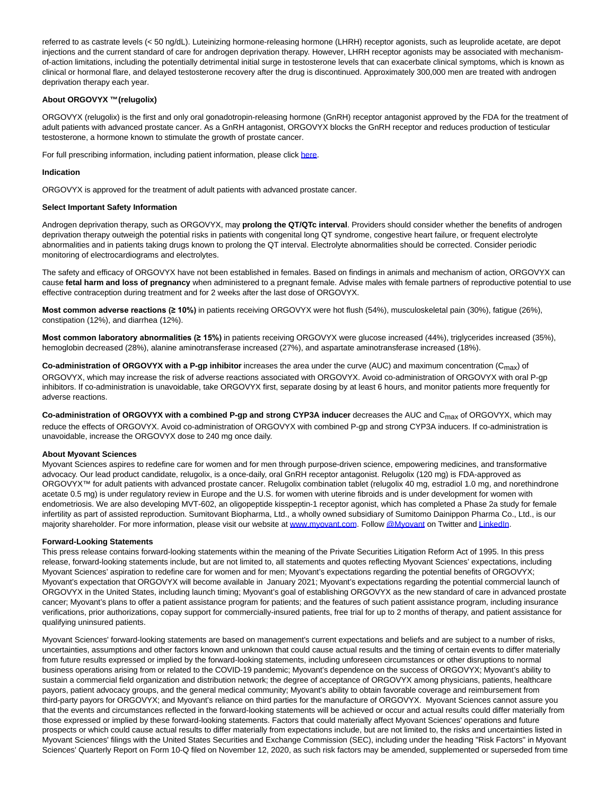referred to as castrate levels (< 50 ng/dL). Luteinizing hormone-releasing hormone (LHRH) receptor agonists, such as leuprolide acetate, are depot injections and the current standard of care for androgen deprivation therapy. However, LHRH receptor agonists may be associated with mechanismof-action limitations, including the potentially detrimental initial surge in testosterone levels that can exacerbate clinical symptoms, which is known as clinical or hormonal flare, and delayed testosterone recovery after the drug is discontinued. Approximately 300,000 men are treated with androgen deprivation therapy each year.

# **About ORGOVYX ™ (relugolix)**

ORGOVYX (relugolix) is the first and only oral gonadotropin-releasing hormone (GnRH) receptor antagonist approved by the FDA for the treatment of adult patients with advanced prostate cancer. As a GnRH antagonist, ORGOVYX blocks the GnRH receptor and reduces production of testicular testosterone, a hormone known to stimulate the growth of prostate cancer.

For full prescribing information, including patient information, please click [here.](https://www.globenewswire.com/Tracker?data=eUOQ0WlX_-AMomdu884c08M_-ek5X2U_pdwtocprDusahtZnTq0R4ZmDu9i4bI1BBTfx6UWjVU8wjgx2jwy7cc63YuQS67bg8brWRJkPZBQHA4QiJCNHYGg4dTjmmHUf)

# **Indication**

ORGOVYX is approved for the treatment of adult patients with advanced prostate cancer.

#### **Select Important Safety Information**

Androgen deprivation therapy, such as ORGOVYX, may **prolong the QT/QTc interval**. Providers should consider whether the benefits of androgen deprivation therapy outweigh the potential risks in patients with congenital long QT syndrome, congestive heart failure, or frequent electrolyte abnormalities and in patients taking drugs known to prolong the QT interval. Electrolyte abnormalities should be corrected. Consider periodic monitoring of electrocardiograms and electrolytes.

The safety and efficacy of ORGOVYX have not been established in females. Based on findings in animals and mechanism of action, ORGOVYX can cause **fetal harm and loss of pregnancy** when administered to a pregnant female. Advise males with female partners of reproductive potential to use effective contraception during treatment and for 2 weeks after the last dose of ORGOVYX.

**Most common adverse reactions (≥ 10%)** in patients receiving ORGOVYX were hot flush (54%), musculoskeletal pain (30%), fatigue (26%), constipation (12%), and diarrhea (12%).

**Most common laboratory abnormalities (≥ 15%)** in patients receiving ORGOVYX were glucose increased (44%), triglycerides increased (35%), hemoglobin decreased (28%), alanine aminotransferase increased (27%), and aspartate aminotransferase increased (18%).

**Co-administration of ORGOVYX with a P-gp inhibitor** increases the area under the curve (AUC) and maximum concentration (C<sub>max</sub>) of ORGOVYX, which may increase the risk of adverse reactions associated with ORGOVYX. Avoid co-administration of ORGOVYX with oral P-gp inhibitors. If co-administration is unavoidable, take ORGOVYX first, separate dosing by at least 6 hours, and monitor patients more frequently for adverse reactions.

**Co-administration of ORGOVYX with a combined P-gp and strong CYP3A inducer** decreases the AUC and Cmax of ORGOVYX, which may reduce the effects of ORGOVYX. Avoid co-administration of ORGOVYX with combined P-gp and strong CYP3A inducers. If co-administration is unavoidable, increase the ORGOVYX dose to 240 mg once daily.

# **About Myovant Sciences**

Myovant Sciences aspires to redefine care for women and for men through purpose-driven science, empowering medicines, and transformative advocacy. Our lead product candidate, relugolix, is a once-daily, oral GnRH receptor antagonist. Relugolix (120 mg) is FDA-approved as ORGOVYX™ for adult patients with advanced prostate cancer. Relugolix combination tablet (relugolix 40 mg, estradiol 1.0 mg, and norethindrone acetate 0.5 mg) is under regulatory review in Europe and the U.S. for women with uterine fibroids and is under development for women with endometriosis. We are also developing MVT-602, an oligopeptide kisspeptin-1 receptor agonist, which has completed a Phase 2a study for female infertility as part of assisted reproduction. Sumitovant Biopharma, Ltd., a wholly owned subsidiary of Sumitomo Dainippon Pharma Co., Ltd., is our majority shareholder. For more information, please visit our website at [www.myovant.com.](https://www.globenewswire.com/Tracker?data=y7Aaovtjyk0qSocy_W5UECbpAHX1fL6FstVqTHa-rDfYzeJxGqqtn_o4HfhgLDpyLe_vIk8KOEMRse8zSnj3rHvrFjTFlFvouvvAN5i__kBM64WO_E8JflqGBlby1ClI3R3zOctlMs8PlzSXT_u9XS2zFOiPGCXoLrrPm9o7n23MieireXlfKr3f4VnYog1_aqfe3PxaoQraDUkOCd5GTfn2KpCLb1o_3zJ27Ke1SZc=) Follow [@Myovant o](https://www.globenewswire.com/Tracker?data=-I8o5GGaxrGLXSj7iA8yx8KQxVLNeIRUb8NdohNy6A8Bn64bkPRAcipRxvX496DLSU4uRtiSkEEFea_RQHzwtKZa1kWtj4VC4mkdEzmfYpDGYCgS4W9sF_4TaBcgkKpc2Qmj23WjNafk3IKU3MvwgyxxNv5-W-wjWUjjApz3gyPKFwKuRoNqgK9PMrT9Aw110xaycMz0suyL0xnTRou4UIupfmseYVCHw4z2Ausgp9k=)n Twitter an[d LinkedIn.](https://www.globenewswire.com/Tracker?data=ydy2PIUeK0EyQWskY3MNIS5zXGyacD2GbzYV83bwcHQqSWW4H7jqwIYdBu6YhjZMu_7fTWwT8HqBwdCGsjEh-W3cDnbhBokn6KDaPqCmh5FRLuV6dSFHbWKPjmDFCgJdHZo67MUylIWbQ1ndelK77iUtSD7s88Y3hSQmzuzQ2E8AXwUOb-bcQofMJREDFnU4GvpCkIN9wyz6FP0jh3NIVUetWVaR8n9mYoqJCnhBY5-rWhXhK8W-uIm9JxbkjSk-6_XiXGCgVnFnnzwpPJ5mFg==)

# **Forward-Looking Statements**

This press release contains forward-looking statements within the meaning of the Private Securities Litigation Reform Act of 1995. In this press release, forward-looking statements include, but are not limited to, all statements and quotes reflecting Myovant Sciences' expectations, including Myovant Sciences' aspiration to redefine care for women and for men; Myovant's expectations regarding the potential benefits of ORGOVYX; Myovant's expectation that ORGOVYX will become available in January 2021; Myovant's expectations regarding the potential commercial launch of ORGOVYX in the United States, including launch timing; Myovant's goal of establishing ORGOVYX as the new standard of care in advanced prostate cancer; Myovant's plans to offer a patient assistance program for patients; and the features of such patient assistance program, including insurance verifications, prior authorizations, copay support for commercially-insured patients, free trial for up to 2 months of therapy, and patient assistance for qualifying uninsured patients.

Myovant Sciences' forward-looking statements are based on management's current expectations and beliefs and are subject to a number of risks, uncertainties, assumptions and other factors known and unknown that could cause actual results and the timing of certain events to differ materially from future results expressed or implied by the forward-looking statements, including unforeseen circumstances or other disruptions to normal business operations arising from or related to the COVID-19 pandemic; Myovant's dependence on the success of ORGOVYX; Myovant's ability to sustain a commercial field organization and distribution network; the degree of acceptance of ORGOVYX among physicians, patients, healthcare payors, patient advocacy groups, and the general medical community; Myovant's ability to obtain favorable coverage and reimbursement from third-party payors for ORGOVYX; and Myovant's reliance on third parties for the manufacture of ORGOVYX. Myovant Sciences cannot assure you that the events and circumstances reflected in the forward-looking statements will be achieved or occur and actual results could differ materially from those expressed or implied by these forward-looking statements. Factors that could materially affect Myovant Sciences' operations and future prospects or which could cause actual results to differ materially from expectations include, but are not limited to, the risks and uncertainties listed in Myovant Sciences' filings with the United States Securities and Exchange Commission (SEC), including under the heading "Risk Factors" in Myovant Sciences' Quarterly Report on Form 10-Q filed on November 12, 2020, as such risk factors may be amended, supplemented or superseded from time